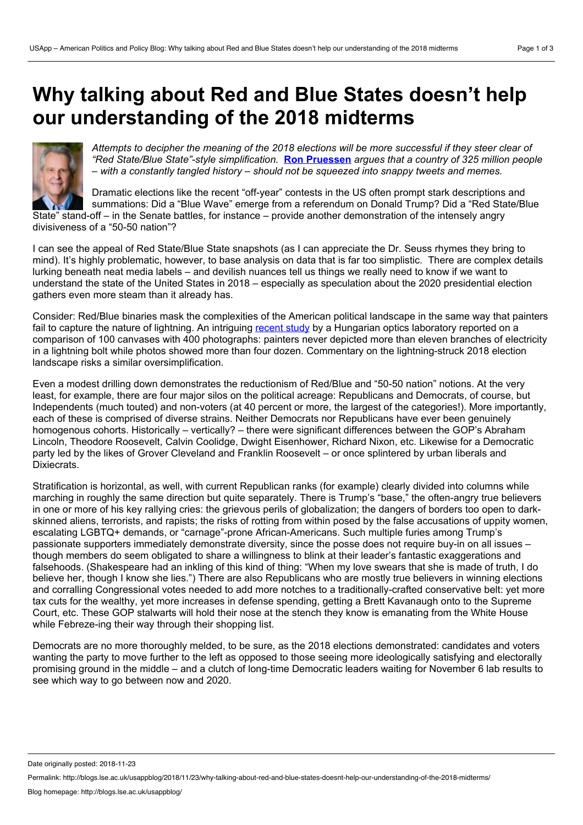## **Why talking about Red and Blue States doesn't help our understanding of the 2018 midterms**



Attempts to decipher the meaning of the 2018 elections will be more successful if they steer clear of *"Red State/Blue State"-style simplification.* **Ron [Pruessen](https://wp.me/p3I2YF-8lw#Author)** *argues that a country of 325 million people – with a constantly tangled history – should not be squeezed into snappy tweets and memes.*

Dramatic elections like the recent "off-year" contests in the US often prompt stark descriptions and summations: Did a "Blue Wave" emerge from a referendum on Donald Trump? Did a "Red State/Blue State" stand-off – in the Senate battles, for instance – provide another demonstration of the intensely angry divisiveness of a "50-50 nation"?

I can see the appeal of Red State/Blue State snapshots (as I can appreciate the Dr. Seuss rhymes they bring to mind). It's highly problematic, however, to base analysis on data that is far too simplistic. There are complex details lurking beneath neat media labels – and devilish nuances tell us things we really need to know if we want to understand the state of the United States in 2018 – especially as speculation about the 2020 presidential election gathers even more steam than it already has.

Consider: Red/Blue binaries mask the complexities of the American political landscape in the same way that painters fail to capture the nature of lightning. An intriguing [recent](http://rspa.royalsocietypublishing.org/content/474/2214/20170859) study by a Hungarian optics laboratory reported on a comparison of 100 canvases with 400 photographs: painters never depicted more than eleven branches of electricity in a lightning bolt while photos showed more than four dozen. Commentary on the lightning-struck 2018 election landscape risks a similar oversimplification.

Even a modest drilling down demonstrates the reductionism of Red/Blue and "50-50 nation" notions. At the very least, for example, there are four major silos on the political acreage: Republicans and Democrats, of course, but Independents (much touted) and non-voters (at 40 percent or more, the largest of the categories!). More importantly, each of these is comprised of diverse strains. Neither Democrats nor Republicans have ever been genuinely homogenous cohorts. Historically – vertically? – there were significant differences between the GOP's Abraham Lincoln, Theodore Roosevelt, Calvin Coolidge, Dwight Eisenhower, Richard Nixon, etc. Likewise for a Democratic party led by the likes of Grover Cleveland and Franklin Roosevelt – or once splintered by urban liberals and Dixiecrats.

Stratification is horizontal, as well, with current Republican ranks (for example) clearly divided into columns while marching in roughly the same direction but quite separately. There is Trump's "base," the often-angry true believers in one or more of his key rallying cries: the grievous perils of globalization; the dangers of borders too open to dark skinned aliens, terrorists, and rapists; the risks of rotting from within posed by the false accusations of uppity women, escalating LGBTQ+ demands, or "carnage"-prone African-Americans. Such multiple furies among Trump's passionate supporters immediately demonstrate diversity, since the posse does not require buy-in on all issues – though members do seem obligated to share a willingness to blink at their leader's fantastic exaggerations and falsehoods. (Shakespeare had an inkling of this kind of thing: "When my love swears that she is made of truth, I do believe her, though I know she lies.") There are also Republicans who are mostly true believers in winning elections and corralling Congressional votes needed to add more notches to a traditionally-crafted conservative belt: yet more tax cuts for the wealthy, yet more increases in defense spending, getting a Brett Kavanaugh onto to the Supreme Court, etc. These GOP stalwarts will hold their nose at the stench they know is emanating from the White House while Febreze-ing their way through their shopping list.

Democrats are no more thoroughly melded, to be sure, as the 2018 elections demonstrated: candidates and voters wanting the party to move further to the left as opposed to those seeing more ideologically satisfying and electorally promising ground in the middle – and a clutch of long-time Democratic leaders waiting for November 6 lab results to see which way to go between now and 2020.

Date originally posted: 2018-11-23

Permalink: http://blogs.lse.ac.uk/usappblog/2018/11/23/why-talking-about-red-and-blue-states-doesnt-help-our-understanding-of-the-2018-midterms/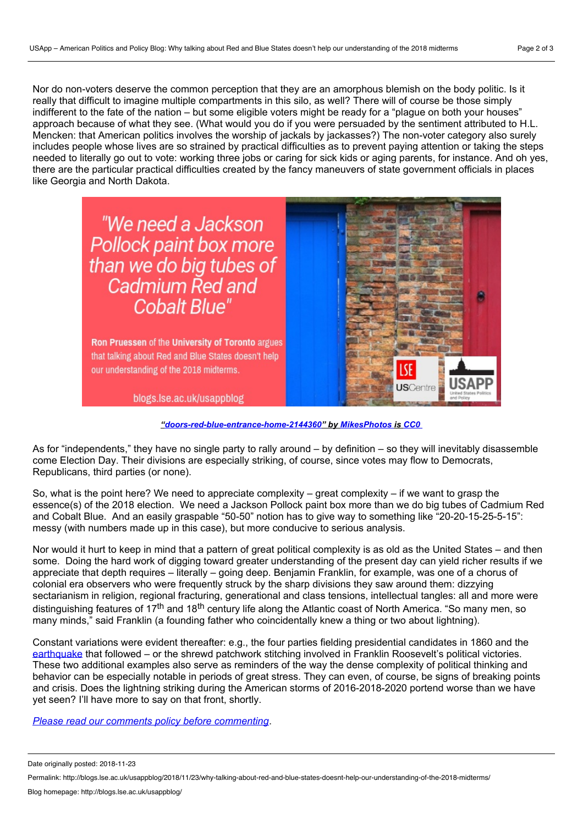Nor do non-voters deserve the common perception that they are an amorphous blemish on the body politic. Is it really that difficult to imagine multiple compartments in this silo, as well? There will of course be those simply indifferent to the fate of the nation – but some eligible voters might be ready for a "plague on both your houses" approach because of what they see. (What would you do if you were persuaded by the sentiment attributed to H.L. Mencken: that American politics involves the worship of jackals by jackasses?) The non-voter category also surely includes people whose lives are so strained by practical difficulties as to prevent paying attention or taking the steps needed to literally go out to vote: working three jobs or caring for sick kids or aging parents, for instance. And oh yes, there are the particular practical difficulties created by the fancy maneuvers of state government officials in places like Georgia and North Dakota.



*["doors-red-blue-entrance-home-2144360](https://pixabay.com/en/doors-red-blue-entrance-home-2144360/)" by [MikesPhotos](https://pixabay.com/en/users/MikesPhotos-1860391/) is [CC0](https://pixabay.com/en/service/terms/#usage)*

As for "independents," they have no single party to rally around – by definition – so they will inevitably disassemble come Election Day. Their divisions are especially striking, of course, since votes may flow to Democrats, Republicans, third parties (or none).

So, what is the point here? We need to appreciate complexity – great complexity – if we want to grasp the essence(s) of the 2018 election. We need a Jackson Pollock paint box more than we do big tubes of Cadmium Red and Cobalt Blue. And an easily graspable "50-50" notion has to give way to something like "20-20-15-25-5-15": messy (with numbers made up in this case), but more conducive to serious analysis.

Nor would it hurt to keep in mind that a pattern of great political complexity is as old as the United States – and then some. Doing the hard work of digging toward greater understanding of the present day can yield richer results if we appreciate that depth requires – literally – going deep. Benjamin Franklin, for example, was one of a chorus of colonial era observers who were frequently struck by the sharp divisions they saw around them: dizzying sectarianism in religion, regional fracturing, generational and class tensions, intellectual tangles: all and more were distinguishing features of 17<sup>th</sup> and 18<sup>th</sup> century life along the Atlantic coast of North America. "So many men, so many minds," said Franklin (a founding father who coincidentally knew a thing or two about lightning).

Constant variations were evident thereafter: e.g., the four parties fielding presidential candidates in 1860 and the [earthquake](http://blogs.lse.ac.uk/usappblog/2016/05/18/lessons-for-2016-from-the-smashup-of-the-second-party-system-and-the-war-of-the-whig-succession/) that followed – or the shrewd patchwork stitching involved in Franklin Roosevelt's political victories. These two additional examples also serve as reminders of the way the dense complexity of political thinking and behavior can be especially notable in periods of great stress. They can even, of course, be signs of breaking points and crisis. Does the lightning striking during the American storms of 2016-2018-2020 portend worse than we have yet seen? I'll have more to say on that front, shortly.

*Please read our comments policy before [commenting](http://blogs.lse.ac.uk/usappblog/comments-policy/)*.

Date originally posted: 2018-11-23

Permalink: http://blogs.lse.ac.uk/usappblog/2018/11/23/why-talking-about-red-and-blue-states-doesnt-help-our-understanding-of-the-2018-midterms/